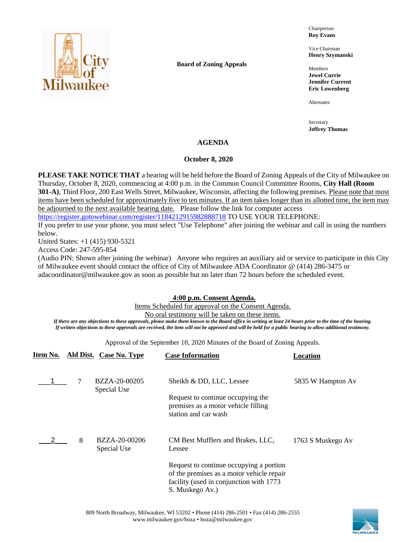

**Board of Zoning Appeals**

Chairperson **Roy Evans**

Vice Chairman **Henry Szymanski**

Members **Jewel Currie Jennifer Current Eric Lowenberg**

Alternates

Secretary **Jeffrey Thomas**

## **AGENDA**

## **October 8, 2020**

**PLEASE TAKE NOTICE THAT** a hearing will be held before the Board of Zoning Appeals of the City of Milwaukee on Thursday, October 8, 2020, commencing at 4:00 p.m. in the Common Council Committee Rooms, **City Hall (Room 301-A)**, Third Floor, 200 East Wells Street, Milwaukee, Wisconsin, affecting the following premises. Please note that most items have been scheduled for approximately five to ten minutes. If an item takes longer than its allotted time, the item may be adjourned to the next available hearing date. Please follow the link for computer access

<https://register.gotowebinar.com/register/1184212915982888718> TO USE YOUR TELEPHONE:

If you prefer to use your phone, you must select "Use Telephone" after joining the webinar and call in using the numbers below.

United States: +1 (415) 930-5321

Access Code: 247-595-854

(Audio PIN: Shown after joining the webinar) Anyone who requires an auxiliary aid or service to participate in this City of Milwaukee event should contact the office of City of Milwaukee ADA Coordinator @ (414) 286-3475 or adacoordinator@milwaukee.gov as soon as possible but no later than 72 hours before the scheduled event.

# **4:00 p.m. Consent Agenda.**

Items Scheduled for approval on the Consent Agenda.

### No oral testimony will be taken on these items.

*If there are any objections to these approvals, please make them known to the Board office in writing at least 24 hours prior to the time of the hearing. If written objections to these approvals are received, the item will not be approved and will be held for a public hearing to allow additional testimony.*

Approval of the September 10, 2020 Minutes of the Board of Zoning Appeals.

| Item No. |   | <b>Ald Dist. Case No. Type</b> | <b>Case Information</b>                                                                                                             | Location          |
|----------|---|--------------------------------|-------------------------------------------------------------------------------------------------------------------------------------|-------------------|
|          | 7 | BZZA-20-00205<br>Special Use   | Sheikh & DD, LLC, Lessee<br>Request to continue occupying the<br>premises as a motor vehicle filling<br>station and car wash        | 5835 W Hampton Av |
|          | 8 | BZZA-20-00206<br>Special Use   | CM Best Mufflers and Brakes, LLC,<br>Lessee<br>Request to continue occupying a portion<br>of the premises as a motor vehicle repair | 1763 S Muskego Av |
|          |   |                                | facility (used in conjunction with 1773<br>S. Muskego Av.)                                                                          |                   |

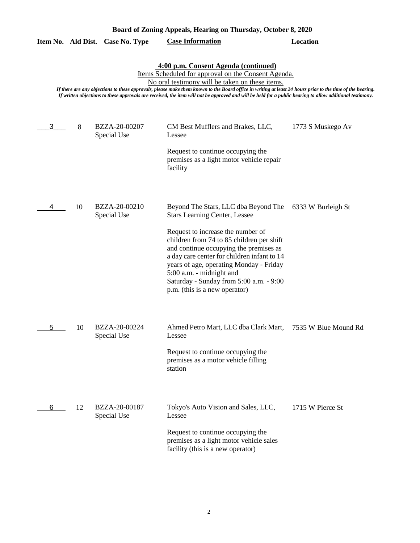| Board of Zoning Appeals, Hearing on Thursday, October 8, 2020 |                                                                                                                                                                                                                                                                                                                                                                                                                                                                          |                              |                                                                                                                                                                                                                                                                                                                                                                                                            |                      |  |  |
|---------------------------------------------------------------|--------------------------------------------------------------------------------------------------------------------------------------------------------------------------------------------------------------------------------------------------------------------------------------------------------------------------------------------------------------------------------------------------------------------------------------------------------------------------|------------------------------|------------------------------------------------------------------------------------------------------------------------------------------------------------------------------------------------------------------------------------------------------------------------------------------------------------------------------------------------------------------------------------------------------------|----------------------|--|--|
| <u>Item No.</u>                                               | <u>Ald Dist.</u>                                                                                                                                                                                                                                                                                                                                                                                                                                                         | <b>Case No. Type</b>         | <b>Case Information</b>                                                                                                                                                                                                                                                                                                                                                                                    | <b>Location</b>      |  |  |
|                                                               | 4:00 p.m. Consent Agenda (continued)<br>Items Scheduled for approval on the Consent Agenda.<br>No oral testimony will be taken on these items.<br>If there are any objections to these approvals, please make them known to the Board office in writing at least 24 hours prior to the time of the hearing.<br>If written objections to these approvals are received, the item will not be approved and will be held for a public hearing to allow additional testimony. |                              |                                                                                                                                                                                                                                                                                                                                                                                                            |                      |  |  |
| 3                                                             | 8                                                                                                                                                                                                                                                                                                                                                                                                                                                                        | BZZA-20-00207<br>Special Use | CM Best Mufflers and Brakes, LLC,<br>Lessee<br>Request to continue occupying the<br>premises as a light motor vehicle repair<br>facility                                                                                                                                                                                                                                                                   | 1773 S Muskego Av    |  |  |
| 4                                                             | 10                                                                                                                                                                                                                                                                                                                                                                                                                                                                       | BZZA-20-00210<br>Special Use | Beyond The Stars, LLC dba Beyond The<br><b>Stars Learning Center, Lessee</b><br>Request to increase the number of<br>children from 74 to 85 children per shift<br>and continue occupying the premises as<br>a day care center for children infant to 14<br>years of age, operating Monday - Friday<br>5:00 a.m. - midnight and<br>Saturday - Sunday from 5:00 a.m. - 9:00<br>p.m. (this is a new operator) | 6333 W Burleigh St   |  |  |
| 5                                                             | 10                                                                                                                                                                                                                                                                                                                                                                                                                                                                       | BZZA-20-00224<br>Special Use | Ahmed Petro Mart, LLC dba Clark Mart,<br>Lessee<br>Request to continue occupying the<br>premises as a motor vehicle filling<br>station                                                                                                                                                                                                                                                                     | 7535 W Blue Mound Rd |  |  |
| 6                                                             | 12                                                                                                                                                                                                                                                                                                                                                                                                                                                                       | BZZA-20-00187<br>Special Use | Tokyo's Auto Vision and Sales, LLC,<br>Lessee<br>Request to continue occupying the<br>premises as a light motor vehicle sales<br>facility (this is a new operator)                                                                                                                                                                                                                                         | 1715 W Pierce St     |  |  |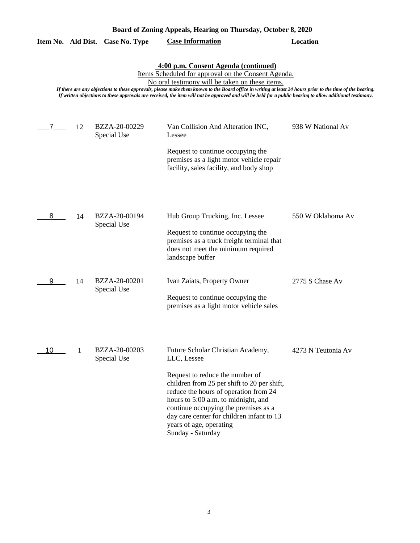| Board of Zoning Appeals, Hearing on Thursday, October 8, 2020 |    |                              |                                                                                                                                                                                                                                                                                                                                                                                                                                                                          |                    |
|---------------------------------------------------------------|----|------------------------------|--------------------------------------------------------------------------------------------------------------------------------------------------------------------------------------------------------------------------------------------------------------------------------------------------------------------------------------------------------------------------------------------------------------------------------------------------------------------------|--------------------|
| Item No. Ald Dist.                                            |    | <b>Case No. Type</b>         | <b>Case Information</b>                                                                                                                                                                                                                                                                                                                                                                                                                                                  | <b>Location</b>    |
|                                                               |    |                              | 4:00 p.m. Consent Agenda (continued)<br>Items Scheduled for approval on the Consent Agenda.<br>No oral testimony will be taken on these items.<br>If there are any objections to these approvals, please make them known to the Board office in writing at least 24 hours prior to the time of the hearing.<br>If written objections to these approvals are received, the item will not be approved and will be held for a public hearing to allow additional testimony. |                    |
| 7                                                             | 12 | BZZA-20-00229<br>Special Use | Van Collision And Alteration INC,<br>Lessee                                                                                                                                                                                                                                                                                                                                                                                                                              | 938 W National Av  |
|                                                               |    |                              | Request to continue occupying the<br>premises as a light motor vehicle repair<br>facility, sales facility, and body shop                                                                                                                                                                                                                                                                                                                                                 |                    |
| 8                                                             | 14 | BZZA-20-00194<br>Special Use | Hub Group Trucking, Inc. Lessee<br>Request to continue occupying the<br>premises as a truck freight terminal that<br>does not meet the minimum required<br>landscape buffer                                                                                                                                                                                                                                                                                              | 550 W Oklahoma Av  |
| 9                                                             | 14 | BZZA-20-00201<br>Special Use | Ivan Zaiats, Property Owner<br>Request to continue occupying the                                                                                                                                                                                                                                                                                                                                                                                                         | 2775 S Chase Av    |
| 10                                                            | 1  | BZZA-20-00203<br>Special Use | premises as a light motor vehicle sales<br>Future Scholar Christian Academy,<br>LLC, Lessee                                                                                                                                                                                                                                                                                                                                                                              | 4273 N Teutonia Av |
|                                                               |    |                              | Request to reduce the number of<br>children from 25 per shift to 20 per shift,<br>reduce the hours of operation from 24<br>hours to 5:00 a.m. to midnight, and<br>continue occupying the premises as a<br>day care center for children infant to 13<br>years of age, operating<br>Sunday - Saturday                                                                                                                                                                      |                    |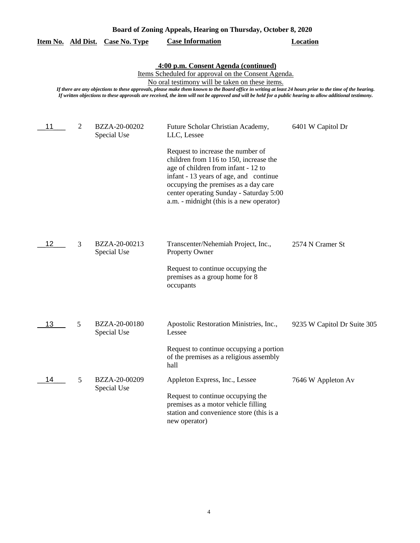| Board of Zoning Appeals, Hearing on Thursday, October 8, 2020 |                                                                                                                                                                                                                                                                                                                                                                                                                                                                          |                              |                                                                                                                                                                                                                                                                                             |                             |  |  |  |
|---------------------------------------------------------------|--------------------------------------------------------------------------------------------------------------------------------------------------------------------------------------------------------------------------------------------------------------------------------------------------------------------------------------------------------------------------------------------------------------------------------------------------------------------------|------------------------------|---------------------------------------------------------------------------------------------------------------------------------------------------------------------------------------------------------------------------------------------------------------------------------------------|-----------------------------|--|--|--|
| Item No. Ald Dist.                                            |                                                                                                                                                                                                                                                                                                                                                                                                                                                                          | <b>Case No. Type</b>         | <b>Case Information</b>                                                                                                                                                                                                                                                                     | <b>Location</b>             |  |  |  |
|                                                               | 4:00 p.m. Consent Agenda (continued)<br>Items Scheduled for approval on the Consent Agenda.<br>No oral testimony will be taken on these items.<br>If there are any objections to these approvals, please make them known to the Board office in writing at least 24 hours prior to the time of the hearing.<br>If written objections to these approvals are received, the item will not be approved and will be held for a public hearing to allow additional testimony. |                              |                                                                                                                                                                                                                                                                                             |                             |  |  |  |
| 11                                                            | 2                                                                                                                                                                                                                                                                                                                                                                                                                                                                        | BZZA-20-00202<br>Special Use | Future Scholar Christian Academy,<br>LLC, Lessee                                                                                                                                                                                                                                            | 6401 W Capitol Dr           |  |  |  |
|                                                               |                                                                                                                                                                                                                                                                                                                                                                                                                                                                          |                              | Request to increase the number of<br>children from 116 to 150, increase the<br>age of children from infant - 12 to<br>infant - 13 years of age, and continue<br>occupying the premises as a day care<br>center operating Sunday - Saturday 5:00<br>a.m. - midnight (this is a new operator) |                             |  |  |  |
| 12                                                            | 3                                                                                                                                                                                                                                                                                                                                                                                                                                                                        | BZZA-20-00213<br>Special Use | Transcenter/Nehemiah Project, Inc.,<br><b>Property Owner</b>                                                                                                                                                                                                                                | 2574 N Cramer St            |  |  |  |
|                                                               |                                                                                                                                                                                                                                                                                                                                                                                                                                                                          |                              | Request to continue occupying the<br>premises as a group home for 8<br>occupants                                                                                                                                                                                                            |                             |  |  |  |
| 13                                                            | 5                                                                                                                                                                                                                                                                                                                                                                                                                                                                        | BZZA-20-00180<br>Special Use | Apostolic Restoration Ministries, Inc.,<br>Lessee                                                                                                                                                                                                                                           | 9235 W Capitol Dr Suite 305 |  |  |  |
|                                                               |                                                                                                                                                                                                                                                                                                                                                                                                                                                                          |                              | Request to continue occupying a portion<br>of the premises as a religious assembly<br>hall                                                                                                                                                                                                  |                             |  |  |  |
| 14                                                            | 5                                                                                                                                                                                                                                                                                                                                                                                                                                                                        | BZZA-20-00209<br>Special Use | Appleton Express, Inc., Lessee<br>Request to continue occupying the<br>premises as a motor vehicle filling                                                                                                                                                                                  | 7646 W Appleton Av          |  |  |  |
|                                                               |                                                                                                                                                                                                                                                                                                                                                                                                                                                                          |                              | station and convenience store (this is a<br>new operator)                                                                                                                                                                                                                                   |                             |  |  |  |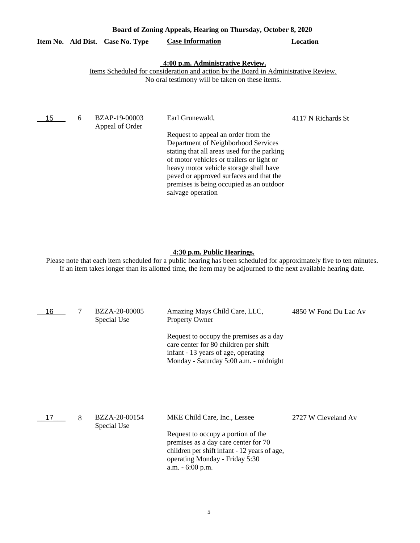|          | Board of Zoning Appeals, Hearing on Thursday, October 8, 2020 |                                  |                                                                                                                                                                                                                                                                                                                                                 |                    |
|----------|---------------------------------------------------------------|----------------------------------|-------------------------------------------------------------------------------------------------------------------------------------------------------------------------------------------------------------------------------------------------------------------------------------------------------------------------------------------------|--------------------|
| Item No. | Ald Dist.                                                     | <b>Case No. Type</b>             | <b>Case Information</b>                                                                                                                                                                                                                                                                                                                         | Location           |
|          |                                                               |                                  | 4:00 p.m. Administrative Review.<br>Items Scheduled for consideration and action by the Board in Administrative Review.<br>No oral testimony will be taken on these items.                                                                                                                                                                      |                    |
| 15       | 6                                                             | BZAP-19-00003<br>Appeal of Order | Earl Grunewald,<br>Request to appeal an order from the<br>Department of Neighborhood Services<br>stating that all areas used for the parking<br>of motor vehicles or trailers or light or<br>heavy motor vehicle storage shall have<br>paved or approved surfaces and that the<br>premises is being occupied as an outdoor<br>salvage operation | 4117 N Richards St |

## **4:30 p.m. Public Hearings.**

| 16 | 7 | BZZA-20-00005<br>Special Use | Amazing Mays Child Care, LLC,<br><b>Property Owner</b>                                                                                                                           | 4850 W Fond Du Lac Av |
|----|---|------------------------------|----------------------------------------------------------------------------------------------------------------------------------------------------------------------------------|-----------------------|
|    |   |                              | Request to occupy the premises as a day<br>care center for 80 children per shift<br>infant - 13 years of age, operating<br>Monday - Saturday 5:00 a.m. - midnight                |                       |
| 17 | 8 | BZZA-20-00154                | MKE Child Care, Inc., Lessee                                                                                                                                                     | 2727 W Cleveland Av   |
|    |   | Special Use                  | Request to occupy a portion of the<br>premises as a day care center for 70<br>children per shift infant - 12 years of age,<br>operating Monday - Friday 5:30<br>a.m. - 6:00 p.m. |                       |
|    |   |                              |                                                                                                                                                                                  |                       |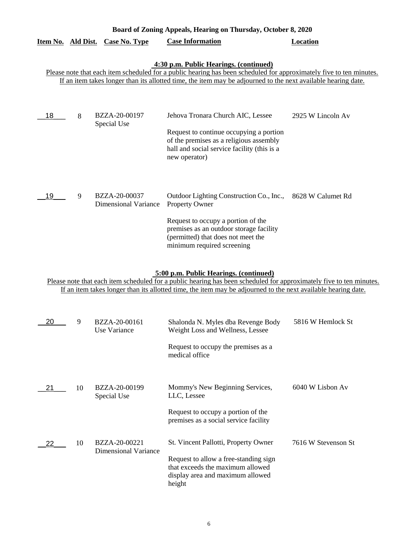|                    |    |                                              | Board of Zoning Appeals, Hearing on Thursday, October 8, 2020                                                                                                                                                                                                                  |                     |
|--------------------|----|----------------------------------------------|--------------------------------------------------------------------------------------------------------------------------------------------------------------------------------------------------------------------------------------------------------------------------------|---------------------|
| Item No. Ald Dist. |    | Case No. Type                                | <b>Case Information</b>                                                                                                                                                                                                                                                        | Location            |
|                    |    |                                              | 4:30 p.m. Public Hearings. (continued)<br>Please note that each item scheduled for a public hearing has been scheduled for approximately five to ten minutes.                                                                                                                  |                     |
|                    |    |                                              | If an item takes longer than its allotted time, the item may be adjourned to the next available hearing date.                                                                                                                                                                  |                     |
|                    |    |                                              |                                                                                                                                                                                                                                                                                |                     |
| 18                 | 8  | BZZA-20-00197<br>Special Use                 | Jehova Tronara Church AIC, Lessee                                                                                                                                                                                                                                              | 2925 W Lincoln Av   |
|                    |    |                                              | Request to continue occupying a portion<br>of the premises as a religious assembly<br>hall and social service facility (this is a<br>new operator)                                                                                                                             |                     |
| 19                 | 9  | BZZA-20-00037<br><b>Dimensional Variance</b> | Outdoor Lighting Construction Co., Inc., 8628 W Calumet Rd<br>Property Owner                                                                                                                                                                                                   |                     |
|                    |    |                                              | Request to occupy a portion of the<br>premises as an outdoor storage facility<br>(permitted) that does not meet the<br>minimum required screening                                                                                                                              |                     |
|                    |    |                                              | 5:00 p.m. Public Hearings. (continued)<br>Please note that each item scheduled for a public hearing has been scheduled for approximately five to ten minutes.<br>If an item takes longer than its allotted time, the item may be adjourned to the next available hearing date. |                     |
| 20                 | 9  | BZZA-20-00161<br>Use Variance                | Shalonda N. Myles dba Revenge Body<br>Weight Loss and Wellness, Lessee                                                                                                                                                                                                         | 5816 W Hemlock St   |
|                    |    |                                              | Request to occupy the premises as a<br>medical office                                                                                                                                                                                                                          |                     |
| 21                 | 10 | BZZA-20-00199<br>Special Use                 | Mommy's New Beginning Services,<br>LLC, Lessee                                                                                                                                                                                                                                 | 6040 W Lisbon Av    |
|                    |    |                                              | Request to occupy a portion of the<br>premises as a social service facility                                                                                                                                                                                                    |                     |
| 22                 | 10 | BZZA-20-00221<br><b>Dimensional Variance</b> | St. Vincent Pallotti, Property Owner                                                                                                                                                                                                                                           | 7616 W Stevenson St |
|                    |    |                                              | Request to allow a free-standing sign<br>that exceeds the maximum allowed<br>display area and maximum allowed<br>height                                                                                                                                                        |                     |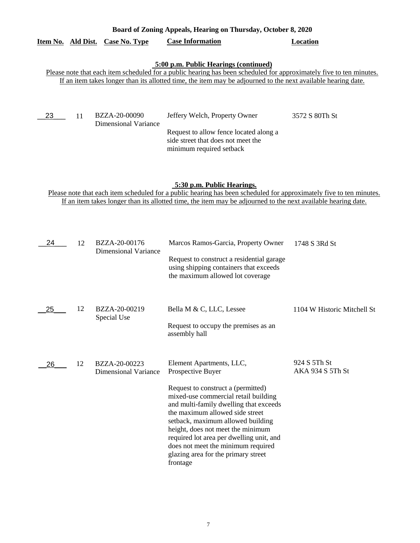|                    | Board of Zoning Appeals, Hearing on Thursday, October 8, 2020 |                                       |                                                                                                                                                                                                                                                                                                                                                                                                                            |                |  |  |
|--------------------|---------------------------------------------------------------|---------------------------------------|----------------------------------------------------------------------------------------------------------------------------------------------------------------------------------------------------------------------------------------------------------------------------------------------------------------------------------------------------------------------------------------------------------------------------|----------------|--|--|
| Item No. Ald Dist. |                                                               | Case No. Type                         | <b>Case Information</b>                                                                                                                                                                                                                                                                                                                                                                                                    | Location       |  |  |
| 23                 | 11                                                            | BZZA-20-00090<br>Dimensional Variance | 5:00 p.m. Public Hearings (continued)<br>Please note that each item scheduled for a public hearing has been scheduled for approximately five to ten minutes.<br>If an item takes longer than its allotted time, the item may be adjourned to the next available hearing date.<br>Jeffery Welch, Property Owner<br>Request to allow fence located along a<br>side street that does not meet the<br>minimum required setback | 3572 S 80Th St |  |  |

# **5:30 p.m. Public Hearings.**

| 24 | 12 | BZZA-20-00176<br>Dimensional Variance        | Marcos Ramos-Garcia, Property Owner                                                                                                                                                                                                                                                                                                                                    | 1748 S 3Rd St                    |
|----|----|----------------------------------------------|------------------------------------------------------------------------------------------------------------------------------------------------------------------------------------------------------------------------------------------------------------------------------------------------------------------------------------------------------------------------|----------------------------------|
|    |    |                                              | Request to construct a residential garage<br>using shipping containers that exceeds<br>the maximum allowed lot coverage                                                                                                                                                                                                                                                |                                  |
| 25 | 12 | BZZA-20-00219                                | Bella M & C, LLC, Lessee                                                                                                                                                                                                                                                                                                                                               | 1104 W Historic Mitchell St      |
|    |    | Special Use                                  | Request to occupy the premises as an<br>assembly hall                                                                                                                                                                                                                                                                                                                  |                                  |
| 26 | 12 | BZZA-20-00223<br><b>Dimensional Variance</b> | Element Apartments, LLC,<br>Prospective Buyer                                                                                                                                                                                                                                                                                                                          | 924 S 5Th St<br>AKA 934 S 5Th St |
|    |    |                                              | Request to construct a (permitted)<br>mixed-use commercial retail building<br>and multi-family dwelling that exceeds<br>the maximum allowed side street<br>setback, maximum allowed building<br>height, does not meet the minimum<br>required lot area per dwelling unit, and<br>does not meet the minimum required<br>glazing area for the primary street<br>frontage |                                  |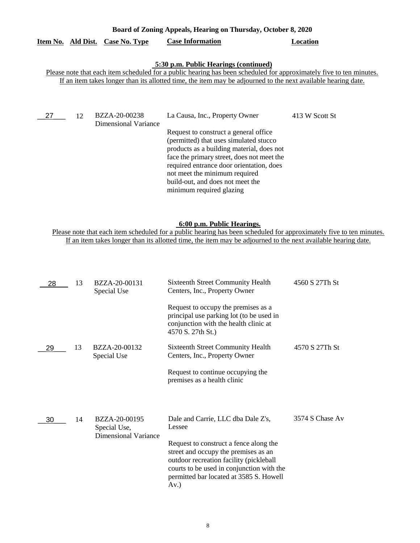| Board of Zoning Appeals, Hearing on Thursday, October 8, 2020 |    |                                       |                                                                                                                                                                                                                                                                                            |                |
|---------------------------------------------------------------|----|---------------------------------------|--------------------------------------------------------------------------------------------------------------------------------------------------------------------------------------------------------------------------------------------------------------------------------------------|----------------|
| Item No. Ald Dist.                                            |    | Case No. Type                         | <b>Case Information</b>                                                                                                                                                                                                                                                                    | Location       |
|                                                               |    |                                       | 5:30 p.m. Public Hearings (continued)<br>Please note that each item scheduled for a public hearing has been scheduled for approximately five to ten minutes.<br>If an item takes longer than its allotted time, the item may be adjourned to the next available hearing date.              |                |
| 27                                                            | 12 | BZZA-20-00238<br>Dimensional Variance | La Causa, Inc., Property Owner<br>Request to construct a general office.<br>(permitted) that uses simulated stucco<br>products as a building material, does not<br>face the primary street, does not meet the<br>required entrance door orientation, does<br>not meet the minimum required | 413 W Scott St |

#### **6:00 p.m. Public Hearings.**

build-out, and does not meet the minimum required glazing

| 28 | 13 | BZZA-20-00131<br>Special Use                          | <b>Sixteenth Street Community Health</b><br>Centers, Inc., Property Owner                                                                                                                                                    | 4560 S 27Th St  |
|----|----|-------------------------------------------------------|------------------------------------------------------------------------------------------------------------------------------------------------------------------------------------------------------------------------------|-----------------|
|    |    |                                                       | Request to occupy the premises as a<br>principal use parking lot (to be used in<br>conjunction with the health clinic at<br>4570 S. 27th St.)                                                                                |                 |
| 29 | 13 | BZZA-20-00132<br>Special Use                          | <b>Sixteenth Street Community Health</b><br>Centers, Inc., Property Owner                                                                                                                                                    | 4570 S 27Th St  |
|    |    |                                                       | Request to continue occupying the<br>premises as a health clinic                                                                                                                                                             |                 |
| 30 | 14 | BZZA-20-00195<br>Special Use,<br>Dimensional Variance | Dale and Carrie, LLC dba Dale Z's,<br>Lessee                                                                                                                                                                                 | 3574 S Chase Av |
|    |    |                                                       | Request to construct a fence along the<br>street and occupy the premises as an<br>outdoor recreation facility (pickleball<br>courts to be used in conjunction with the<br>permitted bar located at 3585 S. Howell<br>$Av.$ ) |                 |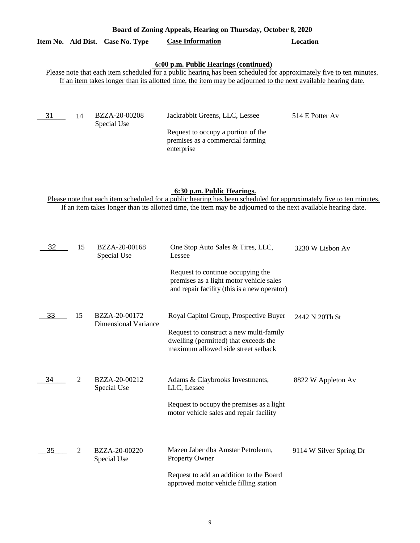|  |                                  | Board of Zoning Appeals, Hearing on Thursday, October 8, 2020 |          |
|--|----------------------------------|---------------------------------------------------------------|----------|
|  | Item No. Ald Dist. Case No. Type | <b>Case Information</b>                                       | Location |
|  |                                  |                                                               |          |

## **6:00 p.m. Public Hearings (continued)**

Please note that each item scheduled for a public hearing has been scheduled for approximately five to ten minutes. If an item takes longer than its allotted time, the item may be adjourned to the next available hearing date.

| - 31 | BZZA-20-00208 | Jackrabbit Greens, LLC, Lessee     | 514 E Potter Av |
|------|---------------|------------------------------------|-----------------|
|      | Special Use   |                                    |                 |
|      |               | Request to occupy a portion of the |                 |
|      |               | premises as a commercial farming   |                 |
|      |               | enterprise                         |                 |

## **6:30 p.m. Public Hearings.**

| 32 | 15             | BZZA-20-00168<br>Special Use          | One Stop Auto Sales & Tires, LLC,<br>Lessee                                                                                                                       | 3230 W Lisbon Av        |
|----|----------------|---------------------------------------|-------------------------------------------------------------------------------------------------------------------------------------------------------------------|-------------------------|
|    |                |                                       | Request to continue occupying the<br>premises as a light motor vehicle sales<br>and repair facility (this is a new operator)                                      |                         |
| 33 | 15             | BZZA-20-00172<br>Dimensional Variance | Royal Capitol Group, Prospective Buyer<br>Request to construct a new multi-family<br>dwelling (permitted) that exceeds the<br>maximum allowed side street setback | 2442 N 20Th St          |
| 34 | $\overline{2}$ | BZZA-20-00212<br>Special Use          | Adams & Claybrooks Investments,<br>LLC, Lessee<br>Request to occupy the premises as a light<br>motor vehicle sales and repair facility                            | 8822 W Appleton Av      |
| 35 | $\overline{2}$ | BZZA-20-00220<br>Special Use          | Mazen Jaber dba Amstar Petroleum,<br><b>Property Owner</b><br>Request to add an addition to the Board<br>approved motor vehicle filling station                   | 9114 W Silver Spring Dr |